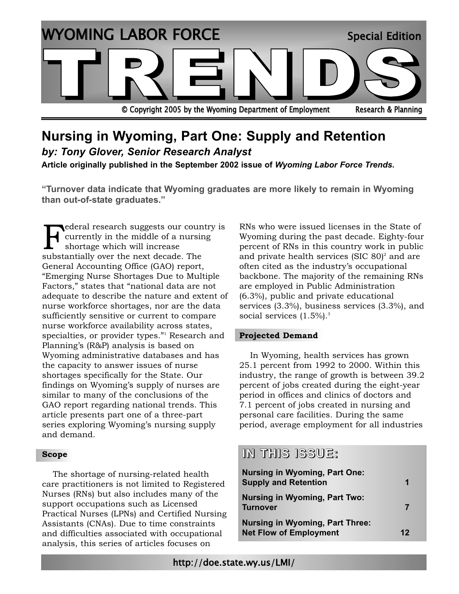

# **Nursing in Wyoming, Part One: Supply and Retention**

*by: Tony Glover, Senior Research Analyst* 

**Article originally published in the September 2002 issue of** *Wyoming Labor Force Trends***.**

**"Turnover data indicate that Wyoming graduates are more likely to remain in Wyoming than out-of-state graduates."**

ederal research suggests our country is currently in the middle of a nursing shortage which will increase substantially over the next decade. The General Accounting Office (GAO) report, "Emerging Nurse Shortages Due to Multiple Factors," states that "national data are not adequate to describe the nature and extent of nurse workforce shortages, nor are the data sufficiently sensitive or current to compare nurse workforce availability across states, specialties, or provider types."<sup>1</sup> Research and Planning's (R&P) analysis is based on Wyoming administrative databases and has the capacity to answer issues of nurse shortages specifically for the State. Our findings on Wyoming's supply of nurses are similar to many of the conclusions of the GAO report regarding national trends. This article presents part one of a three-part series exploring Wyoming's nursing supply and demand.

### **Scope**

The shortage of nursing-related health care practitioners is not limited to Registered Nurses (RNs) but also includes many of the support occupations such as Licensed Practical Nurses (LPNs) and Certified Nursing Assistants (CNAs). Due to time constraints and difficulties associated with occupational analysis, this series of articles focuses on

RNs who were issued licenses in the State of Wyoming during the past decade. Eighty-four percent of RNs in this country work in public and private health services (SIC  $80$ )<sup>2</sup> and are often cited as the industry's occupational backbone. The majority of the remaining RNs are employed in Public Administration (6.3%), public and private educational services (3.3%), business services (3.3%), and social services  $(1.5\%)$ .<sup>3</sup>

### **Projected Demand**

In Wyoming, health services has grown 25.1 percent from 1992 to 2000. Within this industry, the range of growth is between 39.2 percent of jobs created during the eight-year period in offices and clinics of doctors and 7.1 percent of jobs created in nursing and personal care facilities. During the same period, average employment for all industries

### **IN THIS ISSUE:**

| <b>Nursing in Wyoming, Part One:</b><br><b>Supply and Retention</b>     | 1  |
|-------------------------------------------------------------------------|----|
| <b>Nursing in Wyoming, Part Two:</b><br><b>Turnover</b>                 | 7  |
| <b>Nursing in Wyoming, Part Three:</b><br><b>Net Flow of Employment</b> | 12 |

http://doe.state.wy.us/LMI/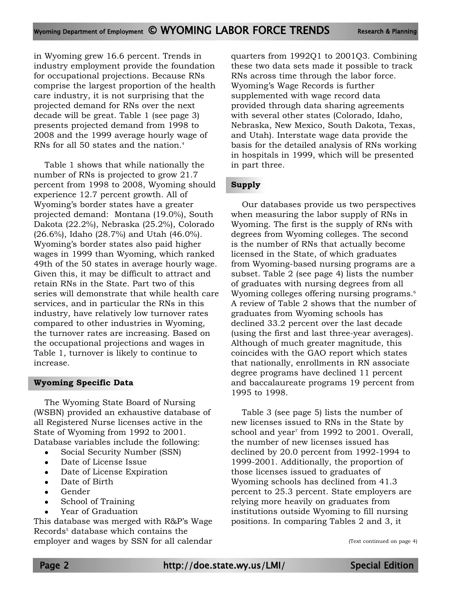in Wyoming grew 16.6 percent. Trends in industry employment provide the foundation for occupational projections. Because RNs comprise the largest proportion of the health care industry, it is not surprising that the projected demand for RNs over the next decade will be great. Table 1 (see page 3) presents projected demand from 1998 to 2008 and the 1999 average hourly wage of RNs for all 50 states and the nation.<sup>4</sup>

Table 1 shows that while nationally the number of RNs is projected to grow 21.7 percent from 1998 to 2008, Wyoming should experience 12.7 percent growth. All of Wyoming's border states have a greater projected demand: Montana (19.0%), South Dakota (22.2%), Nebraska (25.2%), Colorado (26.6%), Idaho (28.7%) and Utah (46.0%). Wyoming's border states also paid higher wages in 1999 than Wyoming, which ranked 49th of the 50 states in average hourly wage. Given this, it may be difficult to attract and retain RNs in the State. Part two of this series will demonstrate that while health care services, and in particular the RNs in this industry, have relatively low turnover rates compared to other industries in Wyoming, the turnover rates are increasing. Based on the occupational projections and wages in Table 1, turnover is likely to continue to increase.

### **Wyoming Specific Data**

The Wyoming State Board of Nursing (WSBN) provided an exhaustive database of all Registered Nurse licenses active in the State of Wyoming from 1992 to 2001. Database variables include the following:

- Social Security Number (SSN)
- Date of License Issue
- Date of License Expiration
- Date of Birth
- Gender
- School of Training
- Year of Graduation

This database was merged with R&P's Wage Records<sup>5</sup> database which contains the employer and wages by SSN for all calendar quarters from 1992Q1 to 2001Q3. Combining these two data sets made it possible to track RNs across time through the labor force. Wyoming's Wage Records is further supplemented with wage record data provided through data sharing agreements with several other states (Colorado, Idaho, Nebraska, New Mexico, South Dakota, Texas, and Utah). Interstate wage data provide the basis for the detailed analysis of RNs working in hospitals in 1999, which will be presented in part three.

### **Supply**

Our databases provide us two perspectives when measuring the labor supply of RNs in Wyoming. The first is the supply of RNs with degrees from Wyoming colleges. The second is the number of RNs that actually become licensed in the State, of which graduates from Wyoming-based nursing programs are a subset. Table 2 (see page 4) lists the number of graduates with nursing degrees from all Wyoming colleges offering nursing programs.<sup>6</sup> A review of Table 2 shows that the number of graduates from Wyoming schools has declined 33.2 percent over the last decade (using the first and last three-year averages). Although of much greater magnitude, this coincides with the GAO report which states that nationally, enrollments in RN associate degree programs have declined 11 percent and baccalaureate programs 19 percent from 1995 to 1998.

Table 3 (see page 5) lists the number of new licenses issued to RNs in the State by school and year<sup>7</sup> from 1992 to 2001. Overall, the number of new licenses issued has declined by 20.0 percent from 1992-1994 to 1999-2001. Additionally, the proportion of those licenses issued to graduates of Wyoming schools has declined from 41.3 percent to 25.3 percent. State employers are relying more heavily on graduates from institutions outside Wyoming to fill nursing positions. In comparing Tables 2 and 3, it

(Text continued on page 4)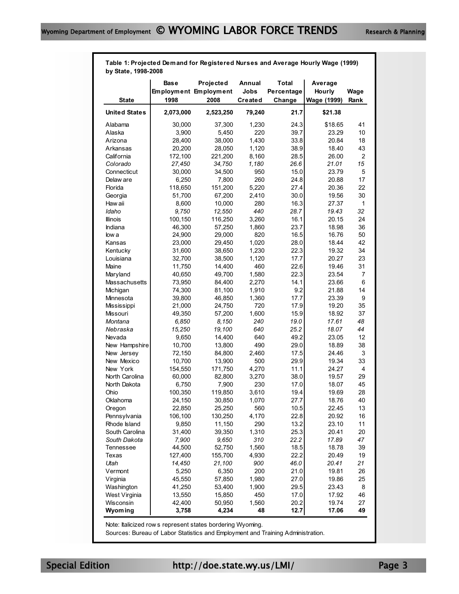**Table 1: Projected Demand for Registered Nurses and Average Hourly Wage (1999) by State, 1998-2008**

|                      | <b>Base</b><br><b>Employment Employment</b> | Projected | Annual<br>Jobs | Total<br>Percentage | Average<br>Hourly | Wage |
|----------------------|---------------------------------------------|-----------|----------------|---------------------|-------------------|------|
| <b>State</b>         | 1998                                        | 2008      | Created        | Change              | Wage (1999)       | Rank |
| <b>United States</b> | 2,073,000                                   | 2,523,250 | 79,240         | 21.7                | \$21.38           |      |
| Alabama              | 30,000                                      | 37,300    | 1,230          | 24.3                | \$18.65           | 41   |
| Alaska               | 3,900                                       | 5,450     | 220            | 39.7                | 23.29             | 10   |
| Arizona              | 28,400                                      | 38,000    | 1,430          | 33.8                | 20.84             | 18   |
| Arkansas             | 20,200                                      | 28,050    | 1,120          | 38.9                | 18.40             | 43   |
| California           | 172,100                                     | 221,200   | 8,160          | 28.5                | 26.00             | 2    |
| Colorado             | 27,450                                      | 34,750    | 1,180          | 26.6                | 21.01             | 15   |
| Connecticut          | 30,000                                      | 34,500    | 950            | 15.0                | 23.79             | 5    |
| Delaw are            | 6,250                                       | 7,800     | 260            | 24.8                | 20.88             | 17   |
| Florida              | 118,650                                     | 151,200   | 5,220          | 27.4                | 20.36             | 22   |
| Georgia              | 51,700                                      | 67,200    | 2,410          | 30.0                | 19.56             | 30   |
| Haw aii              | 8,600                                       | 10,000    | 280            | 16.3                | 27.37             | 1    |
| Idaho                | 9,750                                       | 12,550    | 440            | 28.7                | 19.43             | 32   |
| <b>Illinois</b>      | 100,150                                     | 116,250   | 3,260          | 16.1                | 20.15             | 24   |
| Indiana              | 46,300                                      | 57,250    | 1,860          | 23.7                | 18.98             | 36   |
| low a                | 24,900                                      | 29,000    | 820            | 16.5                | 16.76             | 50   |
| Kansas               | 23,000                                      | 29,450    | 1,020          | 28.0                | 18.44             | 42   |
| Kentucky             | 31,600                                      | 38,650    | 1,230          | 22.3                | 19.32             | 34   |
| Louisiana            | 32,700                                      | 38,500    | 1,120          | 17.7                | 20.27             | 23   |
| Maine                | 11,750                                      | 14,400    | 460            | 22.6                | 19.46             | 31   |
| Maryland             | 40,650                                      | 49,700    | 1,580          | 22.3                | 23.54             | 7    |
| Massachusetts        | 73,950                                      | 84,400    | 2,270          | 14.1                | 23.66             | 6    |
| Michigan             | 74,300                                      | 81,100    | 1,910          | 9.2                 | 21.88             | 14   |
| Minnesota            | 39,800                                      | 46,850    | 1,360          | 17.7                | 23.39             | 9    |
| Mississippi          | 21,000                                      | 24,750    | 720            | 17.9                | 19.20             | 35   |
| Missouri             | 49,350                                      | 57,200    | 1,600          | 15.9                | 18.92             | 37   |
| Montana              | 6,850                                       | 8,150     | 240            | 19.0                | 17.61             | 48   |
| Nebraska             | 15,250                                      | 19,100    | 640            | 25.2                | 18.07             | 44   |
| Nevada               | 9,650                                       | 14,400    | 640            | 49.2                | 23.05             | 12   |
| New Hampshire        | 10,700                                      | 13,800    | 490            | 29.0                | 18.89             | 38   |
| New Jersey           | 72,150                                      | 84,800    | 2,460          | 17.5                | 24.46             | 3    |
| New Mexico           | 10,700                                      | 13,900    | 500            | 29.9                | 19.34             | 33   |
| New York             | 154,550                                     | 171,750   | 4,270          | 11.1                | 24.27             | 4    |
| North Carolina       | 60,000                                      | 82,800    | 3,270          | 38.0                | 19.57             | 29   |
| North Dakota         | 6,750                                       | 7,900     | 230            | 17.0                | 18.07             | 45   |
| Ohio                 | 100,350                                     | 119,850   | 3,610          | 19.4                | 19.69             | 28   |
| Oklahoma             | 24,150                                      | 30,850    | 1,070          | 27.7                | 18.76             | 40   |
| Oregon               | 22,850                                      | 25,250    | 560            | 10.5                | 22.45             | 13   |
| Pennsylvania         | 106,100                                     | 130,250   | 4,170          | 22.8                | 20.92             | 16   |
| Rhode Island         | 9,850                                       | 11,150    | 290            | 13.2                | 23.10             | 11   |
| South Carolina       | 31,400                                      | 39,350    | 1,310          | 25.3                | 20.41             | 20   |
| South Dakota         | 7,900                                       | 9,650     | 310            | 22.2                | 17.89             | 47   |
| Tennessee            | 44,500                                      | 52,750    | 1,560          | 18.5                | 18.78             | 39   |
| Texas                | 127,400                                     | 155,700   | 4,930          | 22.2                | 20.49             | 19   |
| Utah                 | 14,450                                      | 21,100    | 900            | 46.0                | 20.41             | 21   |
| Vermont              | 5,250                                       | 6,350     | 200            | 21.0                | 19.81             | 26   |
| Virginia             | 45,550                                      | 57,850    | 1,980          | 27.0                | 19.86             | 25   |
| Washington           | 41,250                                      | 53,400    | 1,900          | 29.5                | 23.43             | 8    |
| West Virginia        | 13,550                                      | 15,850    | 450            | 17.0                | 17.92             | 46   |
| Wisconsin            | 42,400                                      | 50,950    | 1,560          | 20.2                | 19.74             | 27   |
| Wyoming              | 3,758                                       | 4,234     | 48             | 12.7                | 17.06             | 49   |

Note: Italicized row s represent states bordering Wyoming.

Sources: Bureau of Labor Statistics and Employment and Training Administration.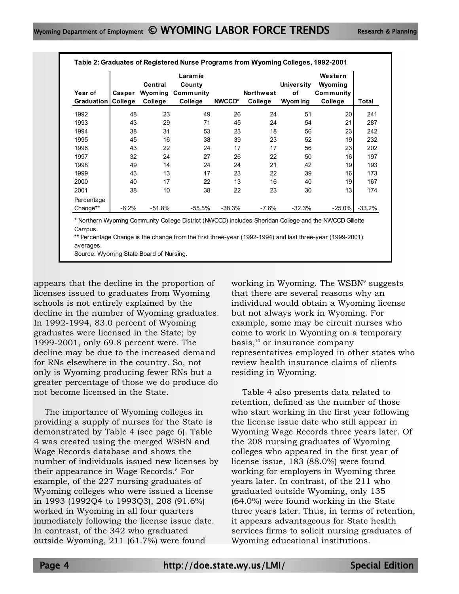|                              |                   |                               | Table 2: Graduates of Registered Nurse Programs from Wyoming Colleges, 1992-2001 |          |                             |                                    |                                                                                                        |          |
|------------------------------|-------------------|-------------------------------|----------------------------------------------------------------------------------|----------|-----------------------------|------------------------------------|--------------------------------------------------------------------------------------------------------|----------|
| Year of<br><b>Graduation</b> | Casper<br>College | Central<br>Wyoming<br>College | <b>Laramie</b><br>County<br>Community<br>College                                 | NWCCD*   | <b>Northwest</b><br>College | <b>University</b><br>of<br>Wyoming | Western<br>Wyoming<br>Community<br>College                                                             | Total    |
| 1992                         | 48                | 23                            | 49                                                                               | 26       | 24                          | 51                                 | 20                                                                                                     | 241      |
| 1993                         | 43                | 29                            | 71                                                                               | 45       | 24                          | 54                                 | 21                                                                                                     | 287      |
| 1994                         | 38                | 31                            | 53                                                                               | 23       | 18                          | 56                                 | 23                                                                                                     | 242      |
| 1995                         | 45                | 16                            | 38                                                                               | 39       | 23                          | 52                                 | 19                                                                                                     | 232      |
| 1996                         | 43                | 22                            | 24                                                                               | 17       | 17                          | 56                                 | 23                                                                                                     | 202      |
| 1997                         | 32                | 24                            | 27                                                                               | 26       | 22                          | 50                                 | 16                                                                                                     | 197      |
| 1998                         | 49                | 14                            | 24                                                                               | 24       | 21                          | 42                                 | 19                                                                                                     | 193      |
| 1999                         | 43                | 13                            | 17                                                                               | 23       | 22                          | 39                                 | 16                                                                                                     | 173      |
| 2000                         | 40                | 17                            | 22                                                                               | 13       | 16                          | 40                                 | 19                                                                                                     | 167      |
| 2001                         | 38                | 10                            | 38                                                                               | 22       | 23                          | 30                                 | 13                                                                                                     | 174      |
| Percentage<br>Change**       | $-6.2%$           | $-51.8%$                      | $-55.5\%$                                                                        | $-38.3%$ | $-7.6%$                     | $-32.3%$                           | $-25.0\%$                                                                                              | $-33.2%$ |
|                              |                   |                               |                                                                                  |          |                             |                                    | * Northern Wyoming Community College District (NWCCD) includes Sheridan College and the NWCCD Gillette |          |

\*\* Percentage Change is the change from the first three-year (1992-1994) and last three-year (1999-2001) Campus.

averages.

Source: Wyoming State Board of Nursing.

appears that the decline in the proportion of licenses issued to graduates from Wyoming schools is not entirely explained by the decline in the number of Wyoming graduates. In 1992-1994, 83.0 percent of Wyoming graduates were licensed in the State; by 1999-2001, only 69.8 percent were. The decline may be due to the increased demand for RNs elsewhere in the country. So, not only is Wyoming producing fewer RNs but a greater percentage of those we do produce do not become licensed in the State.

The importance of Wyoming colleges in providing a supply of nurses for the State is demonstrated by Table 4 (see page 6). Table 4 was created using the merged WSBN and Wage Records database and shows the number of individuals issued new licenses by their appearance in Wage Records.<sup>8</sup> For example, of the 227 nursing graduates of Wyoming colleges who were issued a license in 1993 (1992Q4 to 1993Q3), 208 (91.6%) worked in Wyoming in all four quarters immediately following the license issue date. In contrast, of the 342 who graduated outside Wyoming, 211 (61.7%) were found

working in Wyoming. The WSBN<sup>9</sup> suggests that there are several reasons why an individual would obtain a Wyoming license but not always work in Wyoming. For example, some may be circuit nurses who come to work in Wyoming on a temporary basis,<sup>10</sup> or insurance company representatives employed in other states who review health insurance claims of clients residing in Wyoming.

Table 4 also presents data related to retention, defined as the number of those who start working in the first year following the license issue date who still appear in Wyoming Wage Records three years later. Of the 208 nursing graduates of Wyoming colleges who appeared in the first year of license issue, 183 (88.0%) were found working for employers in Wyoming three years later. In contrast, of the 211 who graduated outside Wyoming, only 135 (64.0%) were found working in the State three years later. Thus, in terms of retention, it appears advantageous for State health services firms to solicit nursing graduates of Wyoming educational institutions.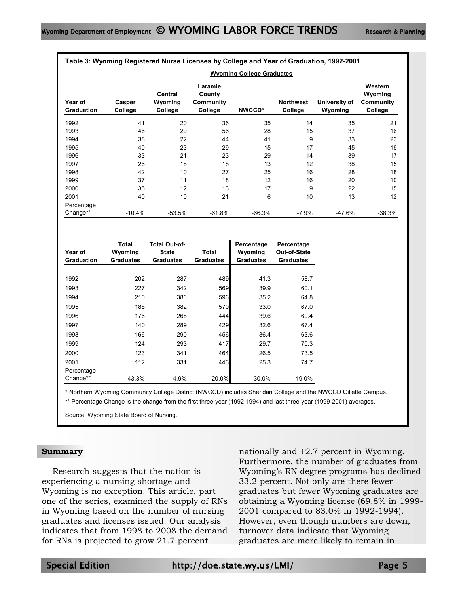|                              | Table 3: Wyoming Registered Nurse Licenses by College and Year of Graduation, 1992-2001 |                                                          |                                                  |                                           |                                                |                          |                                                   |
|------------------------------|-----------------------------------------------------------------------------------------|----------------------------------------------------------|--------------------------------------------------|-------------------------------------------|------------------------------------------------|--------------------------|---------------------------------------------------|
|                              |                                                                                         |                                                          |                                                  | <b>Wyoming College Graduates</b>          |                                                |                          |                                                   |
| Year of<br><b>Graduation</b> | Casper<br>College                                                                       | <b>Central</b><br>Wyoming<br><b>College</b>              | Laramie<br>County<br><b>Community</b><br>College | NWCCD*                                    | <b>Northwest</b><br>College                    | University of<br>Wyoming | Western<br>Wyoming<br><b>Community</b><br>College |
| 1992                         | 41                                                                                      | 20                                                       | 36                                               | 35                                        | 14                                             | 35                       | 21                                                |
| 1993                         | 46                                                                                      | 29                                                       | 56                                               | 28                                        | 15                                             | 37                       | 16                                                |
| 1994                         | 38                                                                                      | 22                                                       | 44                                               | 41                                        | 9                                              | 33                       | 23                                                |
| 1995                         | 40                                                                                      | 23                                                       | 29                                               | 15                                        | 17                                             | 45                       | 19                                                |
| 1996                         | 33                                                                                      | 21                                                       | 23                                               | 29                                        | 14                                             | 39                       | 17                                                |
| 1997                         | 26                                                                                      | 18                                                       | 18                                               | 13                                        | 12                                             | 38                       | 15                                                |
| 1998                         | 42                                                                                      | 10                                                       | 27                                               | 25                                        | 16                                             | 28                       | 18                                                |
| 1999                         | 37                                                                                      | 11                                                       | 18                                               | 12                                        | 16                                             | 20                       | 10                                                |
| 2000                         | 35                                                                                      | 12                                                       | 13                                               | 17                                        | 9                                              | 22                       | 15                                                |
| 2001                         | 40                                                                                      | 10                                                       | 21                                               | 6                                         | 10                                             | 13                       | 12                                                |
| Percentage                   |                                                                                         |                                                          |                                                  |                                           |                                                |                          |                                                   |
| Change**                     | $-10.4%$                                                                                | $-53.5%$                                                 | $-61.8%$                                         | $-66.3%$                                  | $-7.9%$                                        | $-47.6%$                 | $-38.3%$                                          |
| Year of<br><b>Graduation</b> | <b>Total</b><br>Wyoming<br><b>Graduates</b>                                             | <b>Total Out-of-</b><br><b>State</b><br><b>Graduates</b> | <b>Total</b><br><b>Graduates</b>                 | Percentage<br>Wyoming<br><b>Graduates</b> | Percentage<br>Out-of-State<br><b>Graduates</b> |                          |                                                   |
| 1992                         | 202                                                                                     | 287                                                      | 489                                              | 41.3                                      | 58.7                                           |                          |                                                   |
| 1993                         | 227                                                                                     | 342                                                      | 569                                              | 39.9                                      | 60.1                                           |                          |                                                   |
| 1994                         | 210                                                                                     | 386                                                      | 596                                              | 35.2                                      | 64.8                                           |                          |                                                   |
| 1995                         | 188                                                                                     | 382                                                      | 570                                              | 33.0                                      | 67.0                                           |                          |                                                   |
|                              |                                                                                         |                                                          |                                                  |                                           |                                                |                          |                                                   |
| 1996                         | 176                                                                                     | 268                                                      | 444                                              | 39.6                                      | 60.4                                           |                          |                                                   |
| 1997                         | 140                                                                                     | 289                                                      | 429                                              | 32.6                                      | 67.4                                           |                          |                                                   |
| 1998                         | 166                                                                                     | 290                                                      | 456                                              | 36.4                                      | 63.6                                           |                          |                                                   |
| 1999                         | 124                                                                                     | 293                                                      | 417                                              | 29.7                                      | 70.3                                           |                          |                                                   |
| 2000                         | 123                                                                                     | 341                                                      | 464                                              | 26.5                                      | 73.5                                           |                          |                                                   |
| 2001                         | 112                                                                                     | 331                                                      | 443                                              | 25.3                                      | 74.7                                           |                          |                                                   |

\* Northern Wyoming Community College District (NWCCD) includes Sheridan College and the NWCCD Gillette Campus.

\*\* Percentage Change is the change from the first three-year (1992-1994) and last three-year (1999-2001) averages.

Change\*\* | -43.8% -4.9% -20.0% -30.0% 19.0%

Source: Wyoming State Board of Nursing.

### **Summary**

Percentage

Research suggests that the nation is experiencing a nursing shortage and Wyoming is no exception. This article, part one of the series, examined the supply of RNs in Wyoming based on the number of nursing graduates and licenses issued. Our analysis indicates that from 1998 to 2008 the demand for RNs is projected to grow 21.7 percent

nationally and 12.7 percent in Wyoming. Furthermore, the number of graduates from Wyoming's RN degree programs has declined 33.2 percent. Not only are there fewer graduates but fewer Wyoming graduates are obtaining a Wyoming license (69.8% in 1999- 2001 compared to 83.0% in 1992-1994). However, even though numbers are down, turnover data indicate that Wyoming graduates are more likely to remain in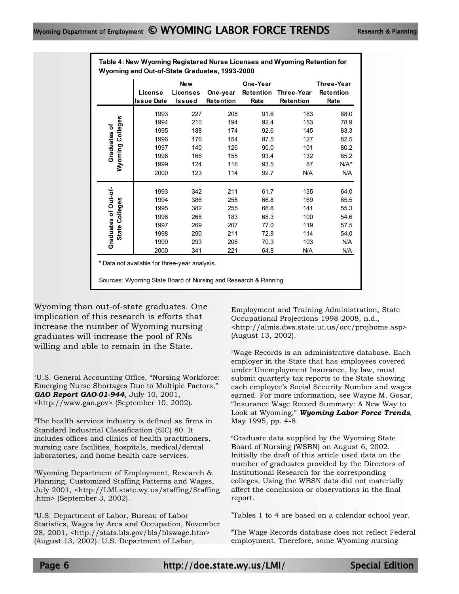|                                                  | Wyoming and Out-of-State Graduates, 1993-2000                |                                                      |                                                      |                                                              |                                                            |                                                                    |
|--------------------------------------------------|--------------------------------------------------------------|------------------------------------------------------|------------------------------------------------------|--------------------------------------------------------------|------------------------------------------------------------|--------------------------------------------------------------------|
|                                                  | License<br><b>Issue Date</b>                                 | New<br><b>Licenses</b><br><b>Issued</b>              | One-year<br>Retention                                | One-Year<br>Retention<br>Rate                                | Three-Year<br><b>Retention</b>                             | <b>Three-Year</b><br>Retention<br>Rate                             |
| Colleges<br>৳<br>Graduates<br>Wyoming            | 1993<br>1994<br>1995<br>1996<br>1997<br>1998<br>1999<br>2000 | 227<br>210<br>188<br>176<br>140<br>166<br>124<br>123 | 208<br>194<br>174<br>154<br>126<br>155<br>116<br>114 | 91.6<br>92.4<br>92.6<br>87.5<br>90.0<br>93.4<br>93.5<br>92.7 | 183<br>153<br>145<br>127<br>101<br>132<br>87<br><b>N/A</b> | 88.0<br>78.9<br>83.3<br>82.5<br>80.2<br>85.2<br>N/A*<br><b>N/A</b> |
| Graduates of Out-of-<br>Colleges<br><b>State</b> | 1993<br>1994<br>1995<br>1996<br>1997<br>1998<br>1999         | 342<br>386<br>382<br>268<br>269<br>290<br>293        | 211<br>258<br>255<br>183<br>207<br>211<br>206        | 61.7<br>66.8<br>66.8<br>68.3<br>77.0<br>72.8<br>70.3         | 135<br>169<br>141<br>100<br>119<br>114<br>103              | 64.0<br>65.5<br>55.3<br>54.6<br>57.5<br>54.0<br><b>N/A</b>         |

2000 341 221 64.8 N/A N/A

**Table 4: New Wyoming Registered Nurse Licenses and Wyoming Retention for** 

\* Data not available for three-year analysis.

Sources: Wyoming State Board of Nursing and Research & Planning.

Wyoming than out-of-state graduates. One implication of this research is efforts that increase the number of Wyoming nursing graduates will increase the pool of RNs willing and able to remain in the State.

1 U.S. General Accounting Office, "Nursing Workforce: Emerging Nurse Shortages Due to Multiple Factors," *GAO Report GAO-01-944*, July 10, 2001, <http://www.gao.gov> (September 10, 2002).

 $\rm{^2The}$  health services industry is defined as firms in Standard Industrial Classification (SIC) 80. It includes offices and clinics of health practitioners, nursing care facilities, hospitals, medical/dental laboratories, and home health care services.

3 Wyoming Department of Employment, Research & Planning, Customized Staffing Patterns and Wages, July 2001, <http://LMI.state.wy.us/staffing/Staffing .htm> (September 3, 2002).

4 U.S. Department of Labor, Bureau of Labor Statistics, Wages by Area and Occupation, November 28, 2001, <http://stats.bls.gov/bls/blswage.htm> (August 13, 2002). U.S. Department of Labor,

Employment and Training Administration, State Occupational Projections 1998-2008, n.d., <http://almis.dws.state.ut.us/occ/projhome.asp> (August 13, 2002).

5 Wage Records is an administrative database. Each employer in the State that has employees covered under Unemployment Insurance, by law, must submit quarterly tax reports to the State showing each employee's Social Security Number and wages earned. For more information, see Wayne M. Gosar, "Insurance Wage Record Summary: A New Way to Look at Wyoming," *Wyoming Labor Force Trends*, May 1995, pp. 4-8.

6 Graduate data supplied by the Wyoming State Board of Nursing (WSBN) on August 6, 2002. Initially the draft of this article used data on the number of graduates provided by the Directors of Institutional Research for the corresponding colleges. Using the WBSN data did not materially affect the conclusion or observations in the final report.

7 Tables 1 to 4 are based on a calendar school year.

8 The Wage Records database does not reflect Federal employment. Therefore, some Wyoming nursing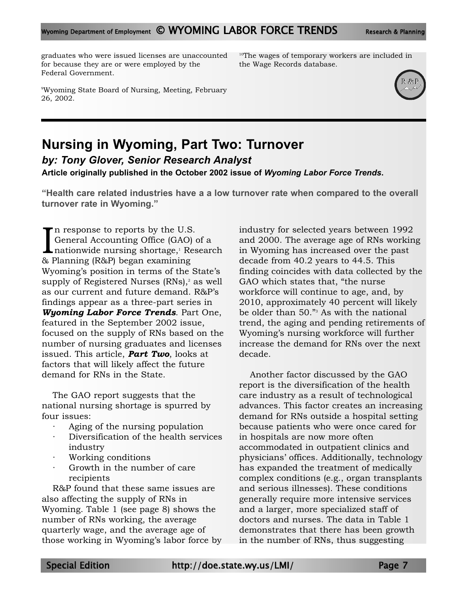graduates who were issued licenses are unaccounted for because they are or were employed by the Federal Government.

<sup>10</sup>The wages of temporary workers are included in the Wage Records database.



# **Nursing in Wyoming, Part Two: Turnover** *by: Tony Glover, Senior Research Analyst*

**Article originally published in the October 2002 issue of** *Wyoming Labor Force Trends***.**

**"Health care related industries have a a low turnover rate when compared to the overall turnover rate in Wyoming."**

 $\prod_{\alpha\in I}$ n response to reports by the U.S. General Accounting Office (GAO) of a nationwide nursing shortage,<sup>1</sup> Research & Planning (R&P) began examining Wyoming's position in terms of the State's supply of Registered Nurses  $(RNs)$ , as well as our current and future demand. R&P's findings appear as a three-part series in *Wyoming Labor Force Trends*. Part One, featured in the September 2002 issue, focused on the supply of RNs based on the number of nursing graduates and licenses issued. This article, *Part Two*, looks at factors that will likely affect the future demand for RNs in the State.

The GAO report suggests that the national nursing shortage is spurred by four issues:

- Aging of the nursing population
- Diversification of the health services industry
- · Working conditions
- Growth in the number of care. recipients

R&P found that these same issues are also affecting the supply of RNs in Wyoming. Table 1 (see page 8) shows the number of RNs working, the average quarterly wage, and the average age of those working in Wyoming's labor force by industry for selected years between 1992 and 2000. The average age of RNs working in Wyoming has increased over the past decade from 40.2 years to 44.5. This finding coincides with data collected by the GAO which states that, "the nurse workforce will continue to age, and, by 2010, approximately 40 percent will likely be older than 50."3 As with the national trend, the aging and pending retirements of Wyoming's nursing workforce will further increase the demand for RNs over the next decade.

Another factor discussed by the GAO report is the diversification of the health care industry as a result of technological advances. This factor creates an increasing demand for RNs outside a hospital setting because patients who were once cared for in hospitals are now more often accommodated in outpatient clinics and physicians' offices. Additionally, technology has expanded the treatment of medically complex conditions (e.g., organ transplants and serious illnesses). These conditions generally require more intensive services and a larger, more specialized staff of doctors and nurses. The data in Table 1 demonstrates that there has been growth in the number of RNs, thus suggesting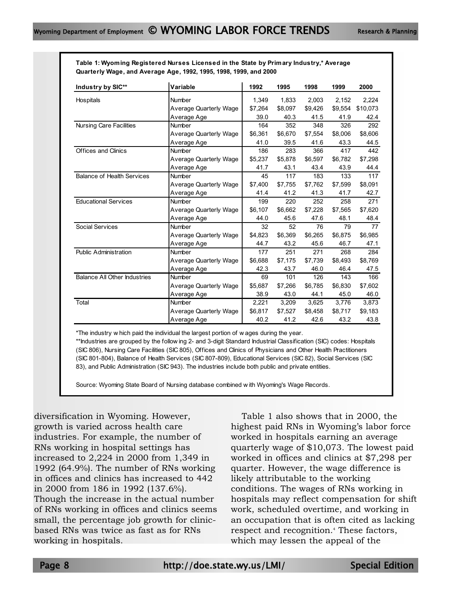| Table 1: Wyoming Registered Nurses Licensed in the State by Primary Industry,* Average |
|----------------------------------------------------------------------------------------|
| Quarterly Wage, and Average Age, 1992, 1995, 1998, 1999, and 2000                      |

| Industry by SIC**                   | Variable                      | 1992    | 1995    | 1998    | 1999    | 2000     |
|-------------------------------------|-------------------------------|---------|---------|---------|---------|----------|
| Hospitals                           | Number                        | 1,349   | 1,833   | 2,003   | 2,152   | 2,224    |
|                                     | <b>Average Quarterly Wage</b> | \$7.264 | \$8.097 | \$9,426 | \$9.554 | \$10,073 |
|                                     | Average Age                   | 39.0    | 40.3    | 41.5    | 41.9    | 42.4     |
| <b>Nursing Care Facilities</b>      | Number                        | 164     | 352     | 348     | 326     | 292      |
|                                     | <b>Average Quarterly Wage</b> | \$6,361 | \$6,670 | \$7,554 | \$8,006 | \$8,606  |
|                                     | Average Age                   | 41.0    | 39.5    | 41.6    | 43.3    | 44.5     |
| Offices and Clinics                 | Number                        | 186     | 283     | 366     | 417     | 442      |
|                                     | <b>Average Quarterly Wage</b> | \$5.237 | \$5,878 | \$6,597 | \$6,782 | \$7,298  |
|                                     | Average Age                   | 41.7    | 43.1    | 43.4    | 43.9    | 44.4     |
| <b>Balance of Health Services</b>   | <b>Number</b>                 | 45      | 117     | 183     | 133     | 117      |
|                                     | Average Quarterly Wage        | \$7.400 | \$7.755 | \$7.762 | \$7.599 | \$8,091  |
|                                     | Average Age                   | 41.4    | 41.2    | 41.3    | 41.7    | 42.7     |
| <b>Educational Services</b>         | Number                        | 199     | 220     | 252     | 258     | 271      |
|                                     | <b>Average Quarterly Wage</b> | \$6.107 | \$6.662 | \$7,228 | \$7.565 | \$7,620  |
|                                     | Average Age                   | 44.0    | 45.6    | 47.6    | 48.1    | 48.4     |
| <b>Social Services</b>              | Number                        | 32      | 52      | 76      | 79      | 77       |
|                                     | <b>Average Quarterly Wage</b> | \$4,823 | \$6.369 | \$6,265 | \$6,875 | \$6,985  |
|                                     | Average Age                   | 44.7    | 43.2    | 45.6    | 46.7    | 47.1     |
| <b>Public Administration</b>        | Number                        | 177     | 251     | 271     | 268     | 284      |
|                                     | <b>Average Quarterly Wage</b> | \$6.688 | \$7.175 | \$7,739 | \$8,493 | \$8,769  |
|                                     | Average Age                   | 42.3    | 43.7    | 46.0    | 46.4    | 47.5     |
| <b>Balance All Other Industries</b> | Number                        | 69      | 101     | 126     | 143     | 166      |
|                                     | <b>Average Quarterly Wage</b> | \$5,687 | \$7.266 | \$6,785 | \$6,830 | \$7,602  |
|                                     | Average Age                   | 38.9    | 43.0    | 44.1    | 45.0    | 46.0     |
| Total                               | Number                        | 2,221   | 3,209   | 3,625   | 3,776   | 3,873    |
|                                     | <b>Average Quarterly Wage</b> | \$6,817 | \$7,527 | \$8,458 | \$8.717 | \$9,183  |
|                                     | Average Age                   | 40.2    | 41.2    | 42.6    | 43.2    | 43.8     |

\*The industry w hich paid the individual the largest portion of w ages during the year.

(SIC 801-804), Balance of Health Services (SIC 807-809), Educational Services (SIC 82), Social Services (SIC 83), and Public Administration (SIC 943). The industries include both public and private entities. \*\*Industries are grouped by the follow ing 2- and 3-digit Standard Industrial Classification (SIC) codes: Hospitals (SIC 806), Nursing Care Facilities (SIC 805), Offices and Clinics of Physicians and Other Health Practitioners

Source: Wyoming State Board of Nursing database combined w ith Wyoming's Wage Records.

diversification in Wyoming. However, growth is varied across health care industries. For example, the number of RNs working in hospital settings has increased to 2,224 in 2000 from 1,349 in 1992 (64.9%). The number of RNs working in offices and clinics has increased to 442 in 2000 from 186 in 1992 (137.6%). Though the increase in the actual number of RNs working in offices and clinics seems small, the percentage job growth for clinicbased RNs was twice as fast as for RNs working in hospitals.

Table 1 also shows that in 2000, the highest paid RNs in Wyoming's labor force worked in hospitals earning an average quarterly wage of \$10,073. The lowest paid worked in offices and clinics at \$7,298 per quarter. However, the wage difference is likely attributable to the working conditions. The wages of RNs working in hospitals may reflect compensation for shift work, scheduled overtime, and working in an occupation that is often cited as lacking respect and recognition.<sup>4</sup> These factors, which may lessen the appeal of the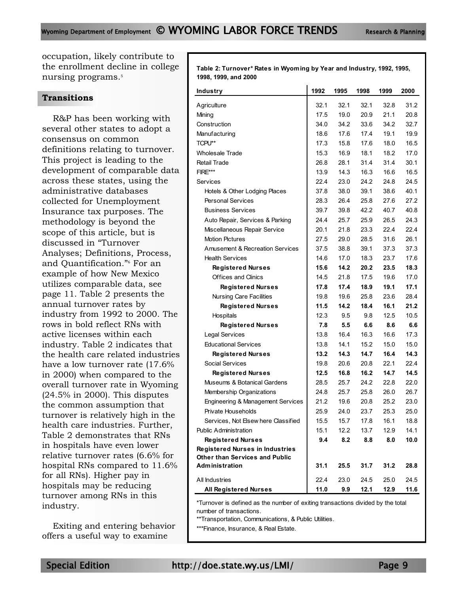occupation, likely contribute to the enrollment decline in college nursing programs.<sup>5</sup>

### **Transitions**

R&P has been working with several other states to adopt a consensus on common definitions relating to turnover. This project is leading to the development of comparable data across these states, using the administrative databases collected for Unemployment Insurance tax purposes. The methodology is beyond the scope of this article, but is discussed in "Turnover Analyses; Definitions, Process, and Quantification."6 For an example of how New Mexico utilizes comparable data, see page 11. Table 2 presents the annual turnover rates by industry from 1992 to 2000. The rows in bold reflect RNs with active licenses within each industry. Table 2 indicates that the health care related industries have a low turnover rate (17.6% in 2000) when compared to the overall turnover rate in Wyoming (24.5% in 2000). This disputes the common assumption that turnover is relatively high in the health care industries. Further, Table 2 demonstrates that RNs in hospitals have even lower relative turnover rates (6.6% for hospital RNs compared to 11.6% for all RNs). Higher pay in hospitals may be reducing turnover among RNs in this industry.

Exiting and entering behavior offers a useful way to examine

**Table 2: Turnover\* Rates in Wyoming by Year and Industry, 1992, 1995, 1998, 1999, and 2000**

| Industry                                   | 1992 | 1995 | 1998 | 1999 | 2000 |
|--------------------------------------------|------|------|------|------|------|
| Agriculture                                | 32.1 | 32.1 | 32.1 | 32.8 | 31.2 |
| Mining                                     | 17.5 | 19.0 | 20.9 | 21.1 | 20.8 |
| Construction                               | 34.0 | 34.2 | 33.6 | 34.2 | 32.7 |
| Manufacturing                              | 18.6 | 17.6 | 17.4 | 19.1 | 19.9 |
| TCPU**                                     | 17.3 | 15.8 | 17.6 | 18.0 | 16.5 |
| <b>Wholesale Trade</b>                     | 15.3 | 16.9 | 18.1 | 18.2 | 17.0 |
| <b>Retail Trade</b>                        | 26.8 | 28.1 | 31.4 | 31.4 | 30.1 |
| FIRE***                                    | 13.9 | 14.3 | 16.3 | 16.6 | 16.5 |
| Services                                   | 22.4 | 23.0 | 24.2 | 24.8 | 24.5 |
| Hotels & Other Lodging Places              | 37.8 | 38.0 | 39.1 | 38.6 | 40.1 |
| <b>Personal Services</b>                   | 28.3 | 26.4 | 25.8 | 27.6 | 27.2 |
| <b>Business Services</b>                   | 39.7 | 39.8 | 42.2 | 40.7 | 40.8 |
| Auto Repair, Services & Parking            | 24.4 | 25.7 | 25.9 | 26.5 | 24.3 |
| Miscellaneous Repair Service               | 20.1 | 21.8 | 23.3 | 22.4 | 22.4 |
| <b>Motion Pictures</b>                     | 27.5 | 29.0 | 28.5 | 31.6 | 26.1 |
| <b>Amusement &amp; Recreation Services</b> | 37.5 | 38.8 | 39.1 | 37.3 | 37.3 |
| <b>Health Services</b>                     | 14.6 | 17.0 | 18.3 | 23.7 | 17.6 |
| <b>Registered Nurses</b>                   | 15.6 | 14.2 | 20.2 | 23.5 | 18.3 |
| <b>Offices and Clinics</b>                 | 14.5 | 21.8 | 17.5 | 19.6 | 17.0 |
| <b>Registered Nurses</b>                   | 17.8 | 17.4 | 18.9 | 19.1 | 17.1 |
| <b>Nursing Care Facilities</b>             | 19.8 | 19.6 | 25.8 | 23.6 | 28.4 |
| <b>Registered Nurses</b>                   | 11.5 | 14.2 | 18.4 | 16.1 | 21.2 |
| Hospitals                                  | 12.3 | 9.5  | 9.8  | 12.5 | 10.5 |
| <b>Registered Nurses</b>                   | 7.8  | 5.5  | 6.6  | 8.6  | 6.6  |
| Legal Services                             | 13.8 | 16.4 | 16.3 | 16.6 | 17.3 |
| <b>Educational Services</b>                | 13.8 | 14.1 | 15.2 | 15.0 | 15.0 |
| <b>Registered Nurses</b>                   | 13.2 | 14.3 | 14.7 | 16.4 | 14.3 |
| Social Services                            | 19.8 | 20.6 | 20.8 | 22.1 | 22.4 |
| <b>Registered Nurses</b>                   | 12.5 | 16.8 | 16.2 | 14.7 | 14.5 |
| Museums & Botanical Gardens                | 28.5 | 25.7 | 24.2 | 22.8 | 22.0 |
| Membership Organizations                   | 24.8 | 25.7 | 25.8 | 26.0 | 26.7 |
| Engineering & Management Services          | 21.2 | 19.6 | 20.8 | 25.2 | 23.0 |
| Private Households                         | 25.9 | 24.0 | 23.7 | 25.3 | 25.0 |
| Services, Not Elsew here Classified        | 15.5 | 15.7 | 17.8 | 16.1 | 18.8 |
| <b>Public Administration</b>               | 15.1 | 12.2 | 13.7 | 12.9 | 14.1 |
| <b>Registered Nurses</b>                   | 9.4  | 8.2  | 8.8  | 8.0  | 10.0 |
| <b>Registered Nurses in Industries</b>     |      |      |      |      |      |
| Other than Services and Public             |      |      |      |      |      |
| <b>Administration</b>                      | 31.1 | 25.5 | 31.7 | 31.2 | 28.8 |
| All Industries                             | 22.4 | 23.0 | 24.5 | 25.0 | 24.5 |
| <b>All Registered Nurses</b>               | 11.0 | 9.9  | 12.1 | 12.9 | 11.6 |

\*Turnover is defined as the number of exiting transactions divided by the total number of transactions.

\*\*Transportation, Communications, & Public Utilities.

\*\*\*Finance, Insurance, & Real Estate.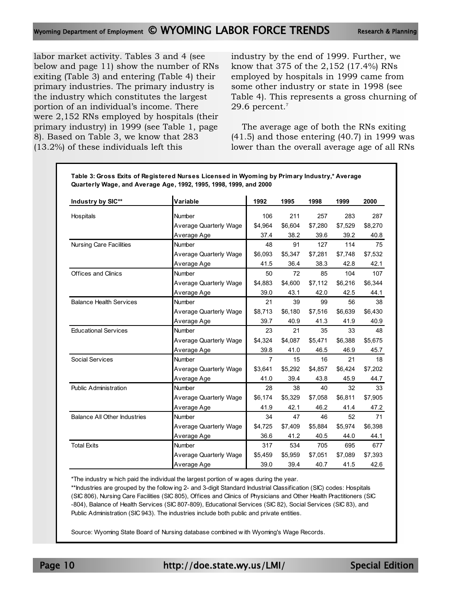labor market activity. Tables 3 and 4 (see below and page 11) show the number of RNs exiting (Table 3) and entering (Table 4) their primary industries. The primary industry is the industry which constitutes the largest portion of an individual's income. There were 2,152 RNs employed by hospitals (their primary industry) in 1999 (see Table 1, page 8). Based on Table 3, we know that 283 (13.2%) of these individuals left this

industry by the end of 1999. Further, we know that 375 of the 2,152 (17.4%) RNs employed by hospitals in 1999 came from some other industry or state in 1998 (see Table 4). This represents a gross churning of 29.6 percent.7

The average age of both the RNs exiting (41.5) and those entering (40.7) in 1999 was lower than the overall average age of all RNs

| Industry by SIC**                   | Variable                      | 1992    | 1995    | 1998    | 1999    | 2000    |
|-------------------------------------|-------------------------------|---------|---------|---------|---------|---------|
| Hospitals                           | Number                        | 106     | 211     | 257     | 283     | 287     |
|                                     | Average Quarterly Wage        | \$4.964 | \$6,604 | \$7,280 | \$7,529 | \$8,270 |
|                                     | Average Age                   | 37.4    | 38.2    | 39.6    | 39.2    | 40.8    |
| <b>Nursing Care Facilities</b>      | <b>Number</b>                 | 48      | 91      | 127     | 114     | 75      |
|                                     | Average Quarterly Wage        | \$6,093 | \$5,347 | \$7,281 | \$7,748 | \$7,532 |
|                                     | Average Age                   | 41.5    | 36.4    | 38.3    | 42.8    | 42.1    |
| <b>Offices and Clinics</b>          | <b>Number</b>                 | 50      | 72      | 85      | 104     | 107     |
|                                     | <b>Average Quarterly Wage</b> | \$4,883 | \$4,600 | \$7,112 | \$6,216 | \$6,344 |
|                                     | Average Age                   | 39.0    | 43.1    | 42.0    | 42.5    | 44.1    |
| <b>Balance Health Services</b>      | Number                        | 21      | 39      | 99      | 56      | 38      |
|                                     | Average Quarterly Wage        | \$8,713 | \$6,180 | \$7,516 | \$6,639 | \$6,430 |
|                                     | Average Age                   | 39.7    | 40.9    | 41.3    | 41.9    | 40.9    |
| <b>Educational Services</b>         | <b>Number</b>                 | 23      | 21      | 35      | 33      | 48      |
|                                     | <b>Average Quarterly Wage</b> | \$4,324 | \$4,087 | \$5,471 | \$6,388 | \$5,675 |
|                                     | Average Age                   | 39.8    | 41.0    | 46.5    | 46.9    | 45.7    |
| Social Services                     | Number                        | 7       | 15      | 16      | 21      | 18      |
|                                     | <b>Average Quarterly Wage</b> | \$3,641 | \$5,292 | \$4,857 | \$6,424 | \$7,202 |
|                                     | Average Age                   | 41.0    | 39.4    | 43.8    | 45.9    | 44.7    |
| <b>Public Administration</b>        | Number                        | 28      | 38      | 40      | 32      | 33      |
|                                     | Average Quarterly Wage        | \$6,174 | \$5,329 | \$7,058 | \$6,811 | \$7,905 |
|                                     | Average Age                   | 41.9    | 42.1    | 46.2    | 41.4    | 47.2    |
| <b>Balance All Other Industries</b> | Number                        | 34      | 47      | 46      | 52      | 71      |
|                                     | Average Quarterly Wage        | \$4,725 | \$7,409 | \$5,884 | \$5,974 | \$6,398 |
|                                     | Average Age                   | 36.6    | 41.2    | 40.5    | 44.0    | 44.1    |
| <b>Total Exits</b>                  | Number                        | 317     | 534     | 705     | 695     | 677     |
|                                     | <b>Average Quarterly Wage</b> | \$5,459 | \$5,959 | \$7,051 | \$7,089 | \$7,393 |
|                                     | Average Age                   | 39.0    | 39.4    | 40.7    | 41.5    | 42.6    |

**Table 3: Gross Exits of Registered Nurses Licensed in Wyoming by Primary Industry,\* Average** 

\*The industry w hich paid the individual the largest portion of w ages during the year.

-804), Balance of Health Services (SIC 807-809), Educational Services (SIC 82), Social Services (SIC 83), and Public Administration (SIC 943). The industries include both public and private entities. \*\*Industries are grouped by the follow ing 2- and 3-digit Standard Industrial Classification (SIC) codes: Hospitals (SIC 806), Nursing Care Facilities (SIC 805), Offices and Clinics of Physicians and Other Health Practitioners (SIC

Source: Wyoming State Board of Nursing database combined w ith Wyoming's Wage Records.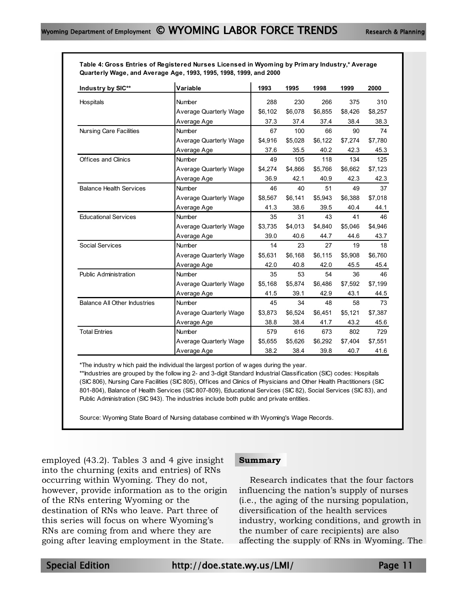**Table 4: Gross Entries of Registered Nurses Licensed in Wyoming by Primary Industry,\* Average Quarterly Wage, and Average Age, 1993, 1995, 1998, 1999, and 2000**

| Industry by SIC**                   | Variable                      | 1993    | 1995    | 1998    | 1999    | 2000    |
|-------------------------------------|-------------------------------|---------|---------|---------|---------|---------|
| Hospitals                           | Number                        | 288     | 230     | 266     | 375     | 310     |
|                                     | Average Quarterly Wage        | \$6,102 | \$6,078 | \$6,855 | \$8,426 | \$8,257 |
|                                     | Average Age                   | 37.3    | 37.4    | 37.4    | 38.4    | 38.3    |
| <b>Nursing Care Facilities</b>      | Number                        | 67      | 100     | 66      | 90      | 74      |
|                                     | <b>Average Quarterly Wage</b> | \$4.916 | \$5,028 | \$6,122 | \$7,274 | \$7,780 |
|                                     | Average Age                   | 37.6    | 35.5    | 40.2    | 42.3    | 45.3    |
| Offices and Clinics                 | Number                        | 49      | 105     | 118     | 134     | 125     |
|                                     | Average Quarterly Wage        | \$4,274 | \$4,866 | \$5,766 | \$6,662 | \$7,123 |
|                                     | Average Age                   | 36.9    | 42.1    | 40.9    | 42.3    | 42.3    |
| <b>Balance Health Services</b>      | Number                        | 46      | 40      | 51      | 49      | 37      |
|                                     | <b>Average Quarterly Wage</b> | \$8,567 | \$6,141 | \$5,943 | \$6,388 | \$7,018 |
|                                     | Average Age                   | 41.3    | 38.6    | 39.5    | 40.4    | 44.1    |
| <b>Educational Services</b>         | Number                        | 35      | 31      | 43      | 41      | 46      |
|                                     | <b>Average Quarterly Wage</b> | \$3,735 | \$4,013 | \$4,840 | \$5,046 | \$4,946 |
|                                     | Average Age                   | 39.0    | 40.6    | 44.7    | 44.6    | 43.7    |
| <b>Social Services</b>              | Number                        | 14      | 23      | 27      | 19      | 18      |
|                                     | <b>Average Quarterly Wage</b> | \$5,631 | \$6.168 | \$6,115 | \$5,908 | \$6,760 |
|                                     | Average Age                   | 42.0    | 40.8    | 42.0    | 45.5    | 45.4    |
| <b>Public Administration</b>        | Number                        | 35      | 53      | 54      | 36      | 46      |
|                                     | <b>Average Quarterly Wage</b> | \$5,168 | \$5,874 | \$6,486 | \$7,592 | \$7,199 |
|                                     | Average Age                   | 41.5    | 39.1    | 42.9    | 43.1    | 44.5    |
| <b>Balance All Other Industries</b> | Number                        | 45      | 34      | 48      | 58      | 73      |
|                                     | <b>Average Quarterly Wage</b> | \$3,873 | \$6,524 | \$6,451 | \$5,121 | \$7,387 |
|                                     | Average Age                   | 38.8    | 38.4    | 41.7    | 43.2    | 45.6    |
| <b>Total Entries</b>                | Number                        | 579     | 616     | 673     | 802     | 729     |
|                                     | <b>Average Quarterly Wage</b> | \$5,655 | \$5,626 | \$6,292 | \$7,404 | \$7,551 |
|                                     | Average Age                   | 38.2    | 38.4    | 39.8    | 40.7    | 41.6    |

\*The industry w hich paid the individual the largest portion of w ages during the year.

801-804), Balance of Health Services (SIC 807-809), Educational Services (SIC 82), Social Services (SIC 83), and Public Administration (SIC 943). The industries include both public and private entities. \*\*Industries are grouped by the follow ing 2- and 3-digit Standard Industrial Classification (SIC) codes: Hospitals (SIC 806), Nursing Care Facilities (SIC 805), Offices and Clinics of Physicians and Other Health Practitioners (SIC

Source: Wyoming State Board of Nursing database combined w ith Wyoming's Wage Records.

employed (43.2). Tables 3 and 4 give insight into the churning (exits and entries) of RNs occurring within Wyoming. They do not, however, provide information as to the origin of the RNs entering Wyoming or the destination of RNs who leave. Part three of this series will focus on where Wyoming's RNs are coming from and where they are going after leaving employment in the State.

#### **Summary**

Research indicates that the four factors influencing the nation's supply of nurses (i.e., the aging of the nursing population, diversification of the health services industry, working conditions, and growth in the number of care recipients) are also affecting the supply of RNs in Wyoming. The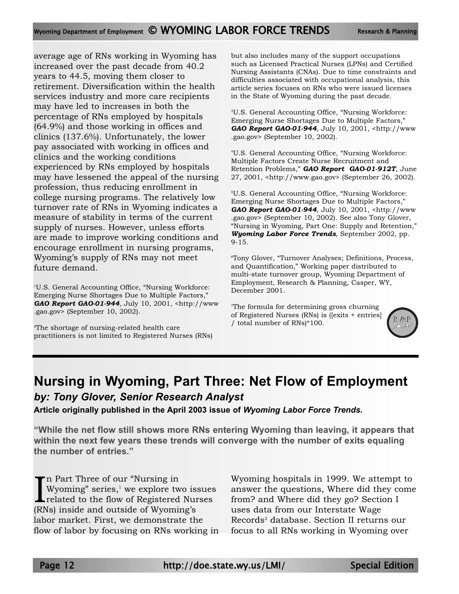average age of RNs working in Wyoming has increased over the past decade from 40.2 years to 44.5, moving them closer to retirement. Diversification within the health services industry and more care recipients may have led to increases in both the percentage of RNs employed by hospitals (64.9%) and those working in offices and clinics (137.6%). Unfortunately, the lower pay associated with working in offices and clinics and the working conditions experienced by RNs employed by hospitals may have lessened the appeal of the nursing profession, thus reducing enrollment in college nursing programs. The relatively low turnover rate of RNs in Wyoming indicates a measure of stability in terms of the current supply of nurses. However, unless efforts are made to improve working conditions and encourage enrollment in nursing programs, Wyoming's supply of RNs may not meet future demand.

<sup>1</sup>U.S. General Accounting Office, "Nursing Workforce: Emerging Nurse Shortages Due to Multiple Factors," *GAO Report GAO-01-944*, July 10, 2001, <http://www .gao.gov> (September 10, 2002).

2 The shortage of nursing-related health care practitioners is not limited to Registered Nurses (RNs) but also includes many of the support occupations such as Licensed Practical Nurses (LPNs) and Certified Nursing Assistants (CNAs). Due to time constraints and difficulties associated with occupational analysis, this article series focuses on RNs who were issued licenses in the State of Wyoming during the past decade.

3 U.S. General Accounting Office, "Nursing Workforce: Emerging Nurse Shortages Due to Multiple Factors," *GAO Report GAO-01-944*, July 10, 2001, <http://www .gao.gov> (September 10, 2002).

4 U.S. General Accounting Office, "Nursing Workforce: Multiple Factors Create Nurse Recruitment and Retention Problems," *GAO Report GAO-01-912T*, June 27, 2001, <http://www.gao.gov> (September 26, 2002).

5 U.S. General Accounting Office, "Nursing Workforce: Emerging Nurse Shortages Due to Multiple Factors," *GAO Report GAO-01-944*, July 10, 2001, <http://www .gao.gov> (September 10, 2002). See also Tony Glover, "Nursing in Wyoming, Part One: Supply and Retention," *Wyoming Labor Force Trends*, September 2002, pp. 9-15.

6 Tony Glover, "Turnover Analyses; Definitions, Process, and Quantification," Working paper distributed to multi-state turnover group, Wyoming Department of Employment, Research & Planning, Casper, WY, December 2001.

7 The formula for determining gross churning of Registered Nurses (RNs) is ([exits + entries] / total number of RNs)\*100.



## **Nursing in Wyoming, Part Three: Net Flow of Employment** *by: Tony Glover, Senior Research Analyst*

**Article originally published in the April 2003 issue of** *Wyoming Labor Force Trends***.**

**"While the net flow still shows more RNs entering Wyoming than leaving, it appears that within the next few years these trends will converge with the number of exits equaling the number of entries."**

I<sub>RN</sub> n Part Three of our "Nursing in Wyoming" series, $\frac{1}{1}$  we explore two issues related to the flow of Registered Nurses (RNs) inside and outside of Wyoming's labor market. First, we demonstrate the flow of labor by focusing on RNs working in Wyoming hospitals in 1999. We attempt to answer the questions, Where did they come from? and Where did they go? Section I uses data from our Interstate Wage Records<sup>2</sup> database. Section II returns our focus to all RNs working in Wyoming over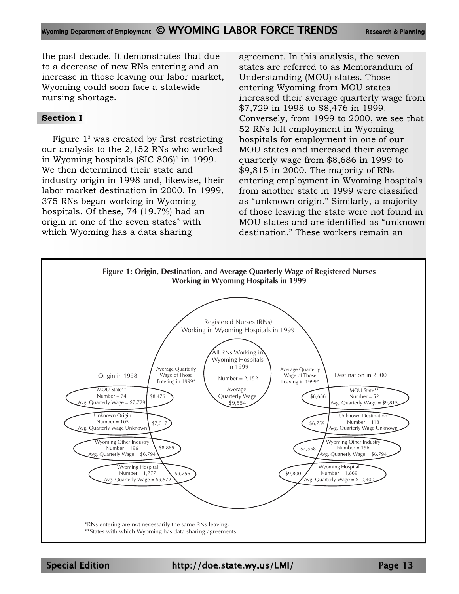the past decade. It demonstrates that due to a decrease of new RNs entering and an increase in those leaving our labor market, Wyoming could soon face a statewide nursing shortage.

### **Section I**

Figure  $1<sup>3</sup>$  was created by first restricting our analysis to the 2,152 RNs who worked in Wyoming hospitals  $(SIC 806)^4$  in 1999. We then determined their state and industry origin in 1998 and, likewise, their labor market destination in 2000. In 1999, 375 RNs began working in Wyoming hospitals. Of these, 74 (19.7%) had an origin in one of the seven states<sup>5</sup> with which Wyoming has a data sharing

agreement. In this analysis, the seven states are referred to as Memorandum of Understanding (MOU) states. Those entering Wyoming from MOU states increased their average quarterly wage from \$7,729 in 1998 to \$8,476 in 1999. Conversely, from 1999 to 2000, we see that 52 RNs left employment in Wyoming hospitals for employment in one of our MOU states and increased their average quarterly wage from \$8,686 in 1999 to \$9,815 in 2000. The majority of RNs entering employment in Wyoming hospitals from another state in 1999 were classified as "unknown origin." Similarly, a majority of those leaving the state were not found in MOU states and are identified as "unknown destination." These workers remain an



Special Edition http://doe.state.wy.us/LMI/ Page 13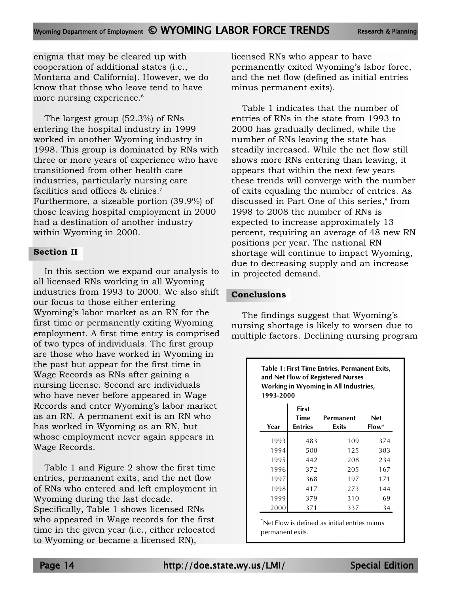enigma that may be cleared up with cooperation of additional states (i.e., Montana and California). However, we do know that those who leave tend to have more nursing experience.<sup>6</sup>

The largest group (52.3%) of RNs entering the hospital industry in 1999 worked in another Wyoming industry in 1998. This group is dominated by RNs with three or more years of experience who have transitioned from other health care industries, particularly nursing care facilities and offices & clinics.<sup>7</sup> Furthermore, a sizeable portion (39.9%) of those leaving hospital employment in 2000 had a destination of another industry within Wyoming in 2000.

### **Section II**

In this section we expand our analysis to all licensed RNs working in all Wyoming industries from 1993 to 2000. We also shift our focus to those either entering Wyoming's labor market as an RN for the first time or permanently exiting Wyoming employment. A first time entry is comprised of two types of individuals. The first group are those who have worked in Wyoming in the past but appear for the first time in Wage Records as RNs after gaining a nursing license. Second are individuals who have never before appeared in Wage Records and enter Wyoming's labor market as an RN. A permanent exit is an RN who has worked in Wyoming as an RN, but whose employment never again appears in Wage Records.

Table 1 and Figure 2 show the first time entries, permanent exits, and the net flow of RNs who entered and left employment in Wyoming during the last decade. Specifically, Table 1 shows licensed RNs who appeared in Wage records for the first time in the given year (i.e., either relocated to Wyoming or became a licensed RN),

licensed RNs who appear to have permanently exited Wyoming's labor force, and the net flow (defined as initial entries minus permanent exits).

Table 1 indicates that the number of entries of RNs in the state from 1993 to 2000 has gradually declined, while the number of RNs leaving the state has steadily increased. While the net flow still shows more RNs entering than leaving, it appears that within the next few years these trends will converge with the number of exits equaling the number of entries. As discussed in Part One of this series,<sup>8</sup> from 1998 to 2008 the number of RNs is expected to increase approximately 13 percent, requiring an average of 48 new RN positions per year. The national RN shortage will continue to impact Wyoming, due to decreasing supply and an increase in projected demand.

### **Conclusions**

The findings suggest that Wyoming's nursing shortage is likely to worsen due to multiple factors. Declining nursing program

| and Net Flow of Registered Nurses<br>Working in Wyoming in All Industries,<br>1993-2000 |                                        |                     |     |  |  |
|-----------------------------------------------------------------------------------------|----------------------------------------|---------------------|-----|--|--|
| Year                                                                                    | First<br><b>Time</b><br><b>Entries</b> | <b>Net</b><br>Flow* |     |  |  |
| 1993                                                                                    | 483                                    | 109                 | 374 |  |  |
| 1994                                                                                    | 508                                    | 125                 | 383 |  |  |
| 1995                                                                                    | 442                                    | 208                 | 234 |  |  |
| 1996                                                                                    | 372                                    | 205                 | 167 |  |  |
| 1997                                                                                    | 368                                    | 197                 | 171 |  |  |
| 1998                                                                                    | 417                                    | 273                 | 144 |  |  |
| 1999                                                                                    | 379                                    | 310                 | 69  |  |  |
| 2000                                                                                    | 371                                    | 337                 | 34  |  |  |

permanent exits.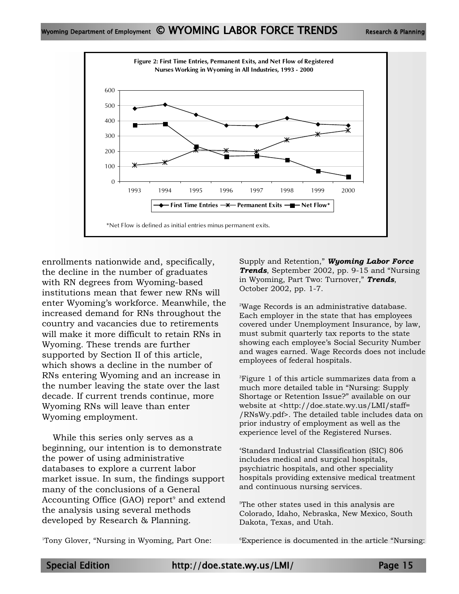

enrollments nationwide and, specifically, the decline in the number of graduates with RN degrees from Wyoming-based institutions mean that fewer new RNs will enter Wyoming's workforce. Meanwhile, the increased demand for RNs throughout the country and vacancies due to retirements will make it more difficult to retain RNs in Wyoming. These trends are further supported by Section II of this article, which shows a decline in the number of RNs entering Wyoming and an increase in the number leaving the state over the last decade. If current trends continue, more Wyoming RNs will leave than enter Wyoming employment.

While this series only serves as a beginning, our intention is to demonstrate the power of using administrative databases to explore a current labor market issue. In sum, the findings support many of the conclusions of a General Accounting Office  $(GAO)$  report<sup>9</sup> and extend the analysis using several methods developed by Research & Planning.

1 Tony Glover, "Nursing in Wyoming, Part One:

Supply and Retention," *Wyoming Labor Force Trends*, September 2002, pp. 9-15 and "Nursing in Wyoming, Part Two: Turnover," *Trends*, October 2002, pp. 1-7.

2 Wage Records is an administrative database. Each employer in the state that has employees covered under Unemployment Insurance, by law, must submit quarterly tax reports to the state showing each employee's Social Security Number and wages earned. Wage Records does not include employees of federal hospitals.

 $^3$ Figure 1 of this article summarizes data from a much more detailed table in "Nursing: Supply Shortage or Retention Issue?" available on our website at <http://doe.state.wy.us/LMI/staff= /RNsWy.pdf>. The detailed table includes data on prior industry of employment as well as the experience level of the Registered Nurses.

4 Standard Industrial Classification (SIC) 806 includes medical and surgical hospitals, psychiatric hospitals, and other speciality hospitals providing extensive medical treatment and continuous nursing services.

5 The other states used in this analysis are Colorado, Idaho, Nebraska, New Mexico, South Dakota, Texas, and Utah.

6 Experience is documented in the article "Nursing: